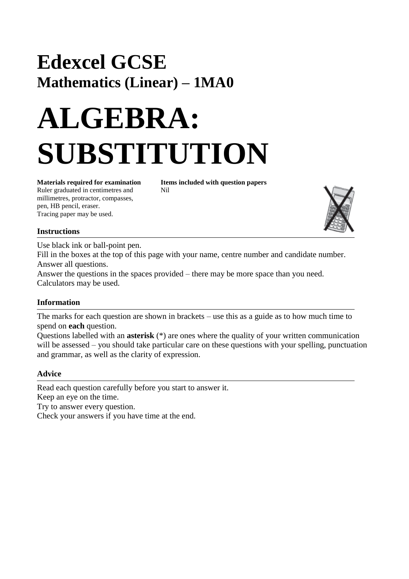# **Edexcel GCSE Mathematics (Linear) – 1MA0**

# **ALGEBRA: SUBSTITUTION**

Ruler graduated in centimetres and Nil millimetres, protractor, compasses, pen, HB pencil, eraser. Tracing paper may be used.

**Materials required for examination Items included with question papers**



#### **Instructions**

Use black ink or ball-point pen.

Fill in the boxes at the top of this page with your name, centre number and candidate number. Answer all questions.

Answer the questions in the spaces provided – there may be more space than you need. Calculators may be used.

#### **Information**

The marks for each question are shown in brackets – use this as a guide as to how much time to spend on **each** question.

Questions labelled with an **asterisk** (\*) are ones where the quality of your written communication will be assessed – you should take particular care on these questions with your spelling, punctuation and grammar, as well as the clarity of expression.

#### **Advice**

Read each question carefully before you start to answer it. Keep an eye on the time. Try to answer every question. Check your answers if you have time at the end.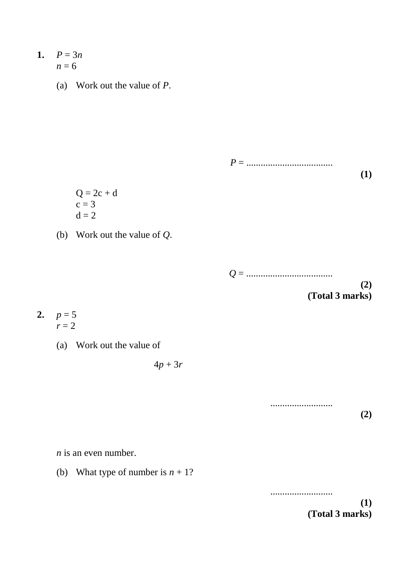- 1.  $P = 3n$  $n = 6$ 
	- (a) Work out the value of *P*.

*P* = .................................... **(1)**

- $Q = 2c + d$  $c = 3$  $d = 2$
- (b) Work out the value of *Q*.



..........................

- **2.**  $p = 5$  $r = 2$ 
	- (a) Work out the value of

 $4p + 3r$ 

*n* is an even number.

(b) What type of number is  $n + 1$ ?

.......................... **(1) (Total 3 marks)**

**(2)**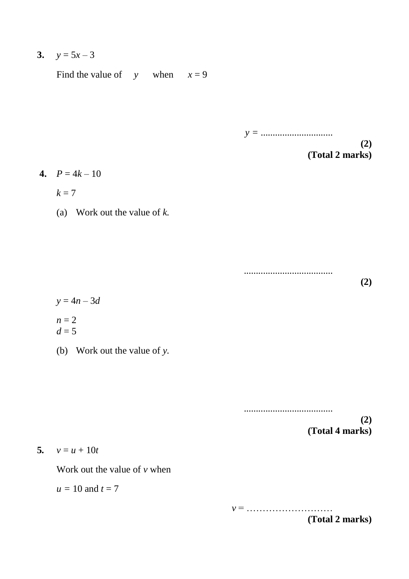3.  $y = 5x - 3$ 

Find the value of  $y$  when  $x=9$ 

*y =* .............................. **(2) (Total 2 marks)**

4.  $P = 4k - 10$ 

 $k = 7$ 

(a) Work out the value of *k.*

.....................................

**(2)**

 $y = 4n - 3d$  $n = 2$  $d = 5$ 

(b) Work out the value of *y.*

..................................... **(2) (Total 4 marks)**

5.  $v = u + 10t$ 

Work out the value of *v* when

 $u = 10$  and  $t = 7$ 

*v* = ……………………… **(Total 2 marks)**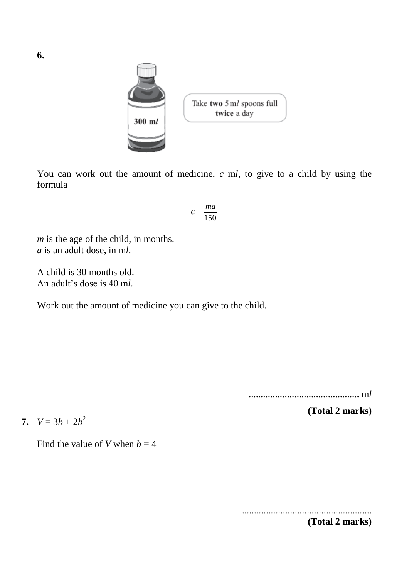

You can work out the amount of medicine,  $c$  ml, to give to a child by using the formula

$$
c = \frac{ma}{150}
$$

*m* is the age of the child, in months. *a* is an adult dose, in m*l*.

A child is 30 months old. An adult's dose is 40 m*l*.

Work out the amount of medicine you can give to the child.

.............................................. m*l*

**(Total 2 marks)**

**7.**  $V = 3b + 2b^2$ 

Find the value of *V* when  $b = 4$ 

......................................................

**6.** 

**(Total 2 marks)**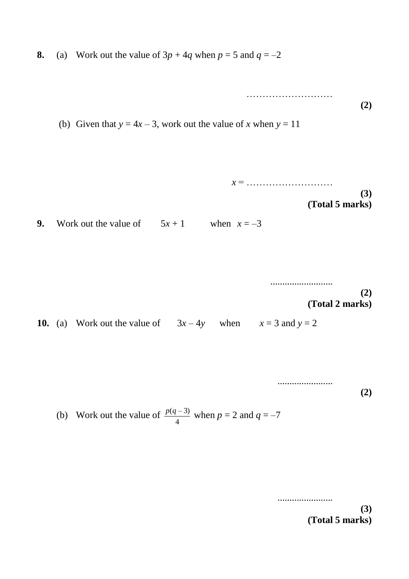**8.** (a) Work out the value of  $3p + 4q$  when  $p = 5$  and  $q = -2$ 

…………………… **(2)** (b) Given that  $y = 4x - 3$ , work out the value of *x* when  $y = 11$ 

$$
x = \dots
$$
 (3)  
(Total 5 marks)

### **9.** Work out the value of  $5x + 1$  when  $x = -3$

.......................... **(2) (Total 2 marks)**

**10.** (a) Work out the value of  $3x-4y$  when  $x=3$  and  $y=2$ 

....................... **(2)**

(b) Work out the value of  $\frac{p(q-3)}{q}$  when  $p = 2$  and  $q = -7$ 4 *p*(*q* – 3)

> ....................... **(3) (Total 5 marks)**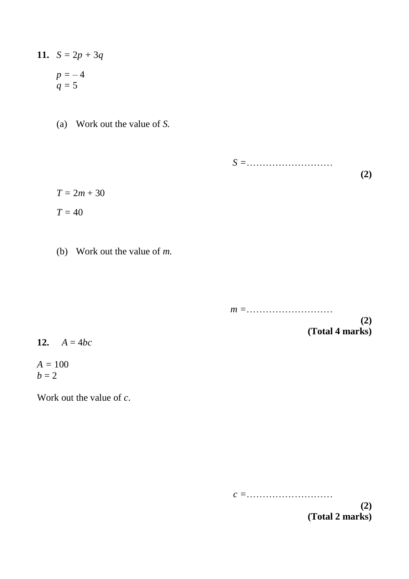- **11.**  $S = 2p + 3q$  $p = -4$  $q = 5$ 
	- (a) Work out the value of *S.*

 $T = 2m + 30$  $T = 40$ 

(b) Work out the value of *m.*

*m =*………………………

*S =*………………………

**(2) (Total 4 marks)**

**(2)**

12.  $A = 4bc$ 

 $A = 100$  $b = 2$ 

Work out the value of *c*.

*c =*………………………

**(2) (Total 2 marks)**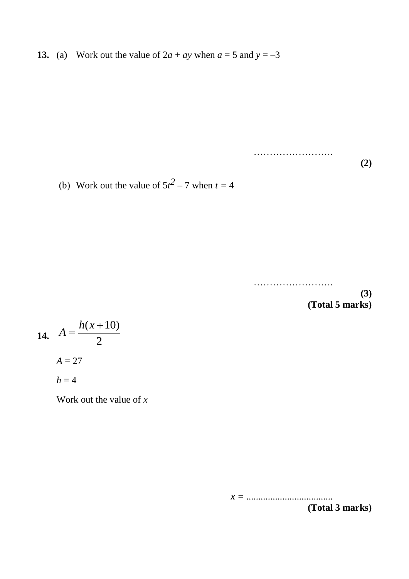**13.** (a) Work out the value of  $2a + ay$  when  $a = 5$  and  $y = -3$ 

**(2)**

(b) Work out the value of  $5t^2 - 7$  when  $t = 4$ 

…………………….

…………………………

**(3) (Total 5 marks)**

**14.** 
$$
A = \frac{h(x+10)}{2}
$$
  
 $A = 27$   
 $h = 4$ 

Work out the value of *x*

*x =* ....................................

**(Total 3 marks)**